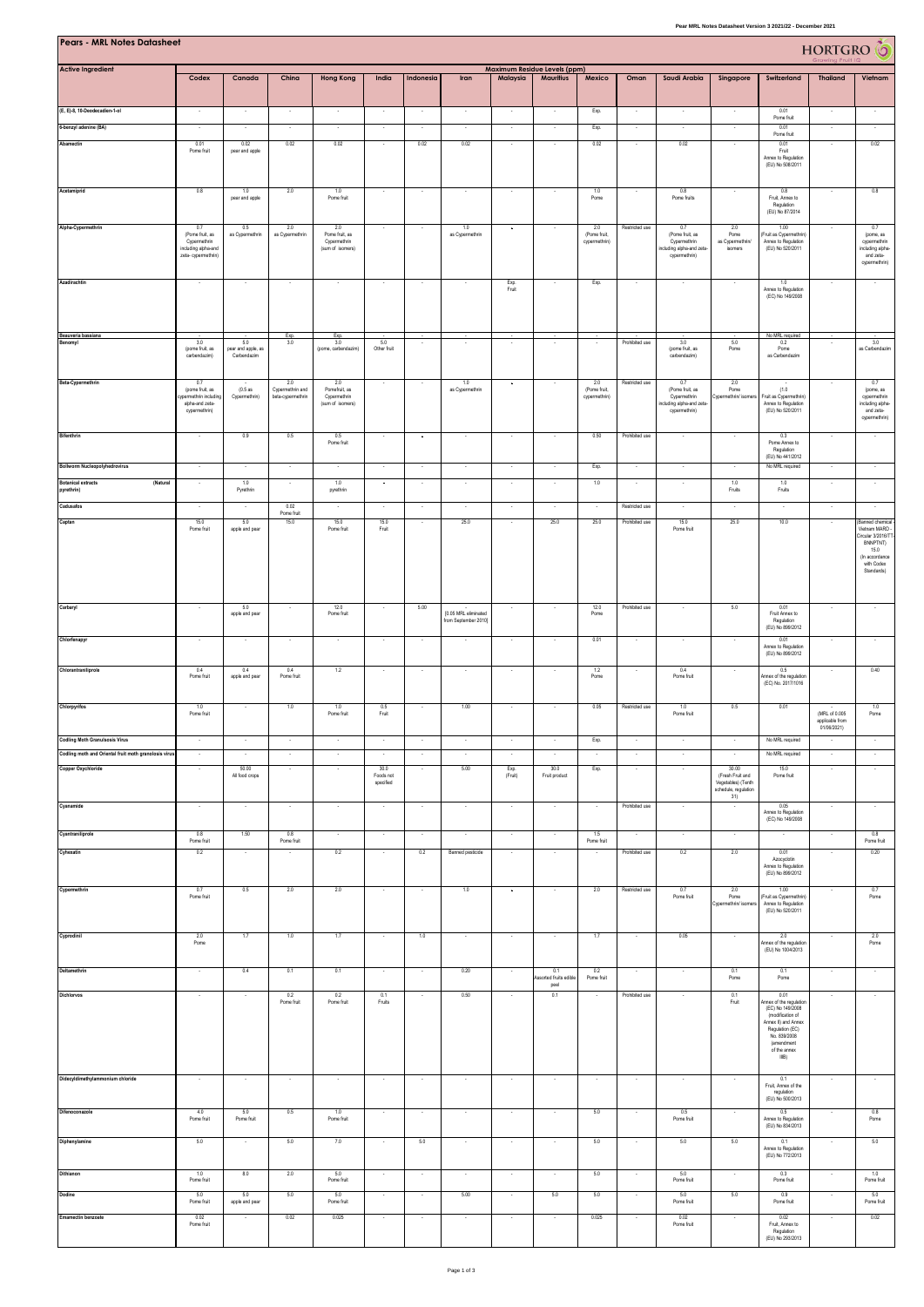| Pear MRL Notes Datasheet Version 3 2021/22 - December 2021                    |                                                                                      |                                          |                                              |                                                           |                                                      |                                    |                                              |                                    |                              |                                      |                                            |                                                                                      |                                                                                |                                                                                                                                                                        |                                  |                                                                                                                                   |
|-------------------------------------------------------------------------------|--------------------------------------------------------------------------------------|------------------------------------------|----------------------------------------------|-----------------------------------------------------------|------------------------------------------------------|------------------------------------|----------------------------------------------|------------------------------------|------------------------------|--------------------------------------|--------------------------------------------|--------------------------------------------------------------------------------------|--------------------------------------------------------------------------------|------------------------------------------------------------------------------------------------------------------------------------------------------------------------|----------------------------------|-----------------------------------------------------------------------------------------------------------------------------------|
| Pears - MRL Notes Datasheet                                                   | Maximum Residue Levels (ppm)                                                         |                                          |                                              |                                                           |                                                      |                                    |                                              |                                    |                              |                                      |                                            |                                                                                      |                                                                                |                                                                                                                                                                        | HORTGRO <sup>6</sup>             |                                                                                                                                   |
| <b>Active Ingredient</b>                                                      | Codex                                                                                | Canada                                   | China                                        | <b>Hong Kong</b>                                          | India                                                | Indonesia                          | Iran                                         | Malaysia                           | <b>Mauritius</b>             | Mexico                               | Oman                                       | Saudi Arabia                                                                         | Singapore                                                                      | Switzerland                                                                                                                                                            | <b>Thailand</b>                  | Vietnam                                                                                                                           |
| (E, E)-8, 10-Deodecadien-1-ol                                                 |                                                                                      |                                          |                                              |                                                           |                                                      |                                    |                                              |                                    |                              | Exp.                                 |                                            |                                                                                      |                                                                                | 0.01<br>Pome fruit                                                                                                                                                     |                                  |                                                                                                                                   |
| 6-benzyl adenine (BA)<br>Abamectin                                            | 0.01<br>Pome fruit                                                                   | 0.02<br>pear and apple                   | 0.02                                         | $\sim$<br>0.02                                            |                                                      | ÷.<br>0.02                         | ×<br>0.02                                    | ÷.                                 |                              | Exp.<br>$0.02\,$                     |                                            | ÷.<br>0.02                                                                           |                                                                                | 0.01<br>Pome fruit<br>0.01<br>Fruit<br>Annex to Regulation<br>(EU) No 508/2011                                                                                         |                                  | 0.02                                                                                                                              |
| Acetamiprid                                                                   | 0.8                                                                                  | 1.0<br>pear and apple                    | 2.0                                          | 1.0<br>Pome fruit                                         |                                                      |                                    |                                              |                                    |                              | 1.0<br>Pome                          |                                            | 0.8<br>Pome fruits                                                                   |                                                                                | 0.8<br>Fruit, Annex to<br>Regulation<br>(EU) No 87/2014                                                                                                                |                                  | 0.8                                                                                                                               |
| Alpha-Cypermethrin                                                            | 0.7<br>(Pome fruit, as<br>Cypermethrin<br>including alpha-and<br>zeta- cypermethrin) | 0.5<br>as Cypermethrin                   | 2.0<br>as Cypermethrin                       | 2.0<br>Pome fruit, as<br>Cypermethrin<br>(sum of isomers) |                                                      |                                    | 1.0<br>as Cypermethrin                       | $\ddot{\phantom{a}}$               |                              | 2.0<br>(Pome fruit,<br>cypermethrin) | Restricted use                             | 0.7<br>(Pome fruit, as<br>Cypermethrin<br>ncluding alpha-and zeta-<br>cypermethrin)  | 2.0<br>Pome<br>as Cypermethrin/<br>isomers                                     | 1.00<br>(Fruit as Cypermethrin)<br>Annex to Regulation<br>(EU) No 520/2011                                                                                             |                                  | 0.7<br>(pome, as<br>cypermethrin<br>including alpha-<br>and zeta-<br>cypermethrin)                                                |
| Azadirachtin                                                                  | $\sim$                                                                               | ٠                                        | $\sim$                                       | $\sim$                                                    | $\sim$                                               | $\sim$                             | $\sim$                                       | Exp.<br>Fruit                      | $\sim$                       | Exp.                                 | ٠.                                         | $\sim$                                                                               | $\sim$                                                                         | 1.0<br>Annex to Regulation<br>(EC) No 149/2008                                                                                                                         | ٠                                | $\sim$                                                                                                                            |
| Beauveria bassiana<br>anomyl                                                  | 3.0<br>(pome fruit, as<br>carbendazim)                                               | 5.0<br>pear and apple, as<br>Carbendazim | Exp.<br>3.0                                  | Exp.<br>3.0<br>(pome, carbendazim)                        | 5.0<br>Other fruit                                   |                                    |                                              |                                    |                              |                                      | Prohibited use                             | 3.0<br>(pome fruit, as<br>carbendazim)                                               | 5.0<br>Pome                                                                    | No MRL required<br>0.2<br>Pome<br>as Carbendazim                                                                                                                       |                                  | 3.0<br>as Carbendazim                                                                                                             |
| Beta-Cypermethrin                                                             | 0.7<br>(pome fruit, as<br>voermethrin including<br>alpha-and zeta-<br>cypermethrin)  | (0.5as<br>Cypermethrin)                  | 2.0<br>Cypermethrin and<br>beta-cypermethrin | 2.0<br>Pomefruit, as<br>Cypermethrin<br>(sum of isomers)  |                                                      |                                    | 1.0<br>as Cypermethrin                       |                                    |                              | 2.0<br>(Pome fruit,<br>cypermethrin) | Restricted use                             | 0.7<br>(Pome fruit, as<br>Cypermethrin<br>including alpha-and zeta-<br>cypermethrin) | 2.0<br>Pome<br>Cypermethrin/ isomen                                            | (1.0)<br>Fruit as Cypermethrin<br>Annex to Regulation<br>(EU) No 520/2011                                                                                              |                                  | 0.7<br>(pome, as<br>cypermethrin<br>including alpha-<br>and zeta-<br>cypermethrin)                                                |
| Bifenthrin                                                                    | $\overline{\phantom{a}}$                                                             | 0.9                                      | 0.5                                          | 0.5<br>Pome fruit                                         | $\overline{\phantom{a}}$                             | $\blacksquare$                     | $\overline{\phantom{a}}$                     | $\overline{\phantom{a}}$           | ٠                            | 0.50                                 | Prohibited use                             | $\overline{\phantom{a}}$                                                             | г.                                                                             | 0.3<br>Pome Annex to<br>Regulation<br>(EU) No 441/2012                                                                                                                 | $\overline{\phantom{a}}$         |                                                                                                                                   |
| <b>Bollworm Nucleopolyhedrovirus</b><br>(Natural<br><b>Botanical extracts</b> | $\sim$                                                                               | 1.0                                      | $\sim$                                       | $\overline{\phantom{a}}$<br>1.0                           | $\overline{\phantom{a}}$<br>$\overline{\phantom{a}}$ | $\overline{\phantom{a}}$           | $\sim$                                       | $\overline{\phantom{a}}$           | $\overline{\phantom{a}}$     | Exp.<br>1.0                          | $\overline{\phantom{a}}$                   | $\overline{\phantom{a}}$                                                             | $\overline{\phantom{a}}$<br>1.0                                                | No MRL required<br>1.0                                                                                                                                                 | $\cdot$                          | $\cdot$                                                                                                                           |
| pyrethrin)                                                                    |                                                                                      | Pyrethrin                                |                                              | pyrethrin                                                 |                                                      |                                    |                                              |                                    |                              |                                      |                                            |                                                                                      | Fruits                                                                         | Fruits                                                                                                                                                                 |                                  |                                                                                                                                   |
| Cadusafos<br>Captan                                                           | $\sim$<br>15.0<br>Pome fruit                                                         | $\sim$<br>5.0<br>apple and pear          | 0.02<br>Pome fruit<br>15.0                   | $\sim$<br>15.0<br>Pome fruit                              | $\sim$<br>15.0<br>Fruit                              | $\sim$<br>$\overline{\phantom{a}}$ | $\sim$<br>25.0                               | $\sim$<br>$\overline{\phantom{a}}$ | $\sim$<br>25.0               | $\sim$<br>25.0                       | Restricted use<br>Prohibited use           | $\sim$<br>15.0<br>Pome fruit                                                         | $\sim$<br>25.0                                                                 | $\sim$<br>10.0                                                                                                                                                         | $\sim$<br>$\sim$                 | $\sim$<br>(Banned chemical<br>Vietnam MARD<br>Circular 3/2016/T<br>BNNPTNT)<br>15.0<br>(In accordance<br>with Codex<br>Standards) |
| Carbaryl                                                                      | $\sim$                                                                               | 5.0<br>apple and pear                    |                                              | 12.0<br>Pome fruit                                        | $\sim$                                               | 5.00                               | [0.05 MRL eliminated<br>from September 2010] | $\sim$                             | $\sim$                       | 12.0<br>Pome                         | Prohibited use                             |                                                                                      | 5.0                                                                            | 0.01<br>Fruit Annex to<br>Regulation                                                                                                                                   | $\sim$                           |                                                                                                                                   |
| Chlorfenapyr                                                                  |                                                                                      |                                          |                                              |                                                           |                                                      | ×                                  |                                              |                                    | ×                            | 0.01                                 |                                            |                                                                                      |                                                                                | (EU) No 899/2012<br>0.01<br>Annex to Regulation                                                                                                                        | $\cdot$                          |                                                                                                                                   |
| Chlorantraniliprole                                                           | 0.4<br>Pome fruit                                                                    | 0.4<br>apple and pear                    | 0.4<br>Pome fruit                            | 1.2                                                       |                                                      |                                    |                                              |                                    |                              | 1.2<br>Pome                          |                                            | 0.4<br>Pome fruit                                                                    |                                                                                | (EU) No 899/2012<br>0.5<br>Annex of the regulation<br>(EC) No. 2017/1016                                                                                               |                                  | 0.40                                                                                                                              |
| Chlorpyrifos                                                                  | 1.0<br>Pome fruit                                                                    |                                          | 1.0                                          | 1.0<br>Pome fruit                                         | 0.5<br>Fruit                                         | ٠.                                 | 1.00                                         |                                    | $\overline{\phantom{a}}$     | 0.05                                 | Restricted use                             | 1.0<br>Pome fruit                                                                    | 0.5                                                                            | 0.01                                                                                                                                                                   | (MRL of 0.005<br>applicable from | 1.0<br>Pome                                                                                                                       |
| <b>Codling Moth Granulsosis Virus</b>                                         |                                                                                      |                                          |                                              | $\sim$                                                    | ÷.                                                   | $\sim$                             | ×                                            | $\sim$                             | ×                            | Exp.                                 | ÷.                                         | $\sim$                                                                               |                                                                                | No MRL required                                                                                                                                                        | 01/06/2021)<br>÷.                | $\sim$                                                                                                                            |
| Codling moth and Oriental fruit moth granolosis virus                         |                                                                                      |                                          |                                              |                                                           |                                                      |                                    |                                              |                                    |                              |                                      |                                            |                                                                                      |                                                                                | No MRL required                                                                                                                                                        |                                  |                                                                                                                                   |
| <b>Copper Oxychloride</b>                                                     |                                                                                      | 50.00<br>All food crops                  |                                              |                                                           | 30.0<br>Foods not<br>specified                       |                                    | 5.00                                         | Exp.<br>(Fruit)                    | 30.0<br>Fruit product        | Exp.                                 |                                            |                                                                                      | 30.00<br>(Fresh Fruit and<br>Vegetables) (Tenth<br>schedule, regulation<br>31) | 15.0<br>Pome fruit                                                                                                                                                     | ٠                                |                                                                                                                                   |
| Cyanamide<br>Cyantraniliprole                                                 | 0.8                                                                                  | 1.50                                     | 0.8                                          | $\cdot$                                                   | $\sim$                                               | $\overline{\phantom{a}}$           | $\overline{\phantom{a}}$                     | $\cdot$                            | $\overline{\phantom{a}}$     | 1.5                                  | Prohibited use<br>$\overline{\phantom{a}}$ | ٠                                                                                    | $\overline{\phantom{a}}$                                                       | 0.05<br>Annex to Regulation<br>(EC) No 149/2008                                                                                                                        | $\sim$                           | 0.8                                                                                                                               |
| Cyhexatin                                                                     | Pome fruit<br>0.2                                                                    |                                          | Pome fruit                                   | 0.2                                                       |                                                      | 0.2                                | Banned pesticide                             |                                    |                              | Pome fruit                           | Prohibited use                             | 0.2                                                                                  | 2.0                                                                            | 0.01<br>Azocyclotin<br>Annex to Regulation<br>(EU) No 899/2012                                                                                                         |                                  | Pome fruit<br>0.20                                                                                                                |
| Cypermethrin                                                                  | 0.7<br>Pome fruit                                                                    | 0.5                                      | 2.0                                          | 2.0                                                       | $\overline{\phantom{a}}$                             |                                    | 1.0                                          | $\cdot$                            |                              | 2.0                                  | Restricted use                             | 0.7<br>Pome fruit                                                                    | 2.0<br>Pome<br>Cypermethrin/ isomen                                            | 1.00<br>(Fruit as Cypermethrin)<br>Annex to Regulation<br>(EU) No 520/2011                                                                                             |                                  | 0.7<br>Pome                                                                                                                       |
| Cyprodinil                                                                    | 2.0<br>Pome                                                                          | 1.7                                      | 1.0                                          | 1.7                                                       |                                                      | 1.0                                |                                              |                                    |                              | 1.7                                  |                                            | 0.05                                                                                 |                                                                                | 2.0<br>Annex of the regulation<br>(EU) No 1004/2013                                                                                                                    |                                  | 2.0<br>Pome                                                                                                                       |
| Deltamethrin                                                                  | $\sim$                                                                               | 0.4                                      | 0.1                                          | 0.1                                                       | $\cdot$                                              | $\sim$                             | 0.20                                         |                                    | 0.1<br>ssorted fruits edible | 0.2<br>Pome fruit                    | $\overline{\phantom{a}}$                   |                                                                                      | 0.1<br>Pome                                                                    | 0.1<br>Pome                                                                                                                                                            | $\cdot$                          | $\cdot$                                                                                                                           |
| Dichlorvos                                                                    |                                                                                      |                                          | 0.2<br>Pome fruit                            | 0.2<br>Pome fruit                                         | 0.1<br>Fruits                                        |                                    | 0.50                                         |                                    | peel<br>0.1                  |                                      | Prohibited use                             |                                                                                      | 0.1<br>Fruit                                                                   | 0.01<br>Annex of the regulation<br>(EC) No 149/2008<br>(modification of<br>Annex II) and Annex<br>Regulation (EC)<br>No. 839/2008<br>(amendment<br>of the annex<br>IIB |                                  |                                                                                                                                   |
| Didecyldimethylammonium chloride                                              |                                                                                      |                                          |                                              |                                                           | ٠                                                    |                                    | $\overline{\phantom{a}}$                     |                                    | ٠                            | $\overline{\phantom{a}}$             |                                            |                                                                                      |                                                                                | 0.1<br>Fruit, Annex of the<br>regulation<br>(EU) No 500/2013                                                                                                           | ٠                                |                                                                                                                                   |
| Difenoconazole                                                                | 4.0<br>Pome fruit                                                                    | 5.0<br>Pome fruit                        | 0.5                                          | 1.0<br>Pome fruit                                         |                                                      | $\sim$                             | ×                                            | $\sim$                             |                              | 5.0                                  |                                            | 0.5<br>Pome fruit                                                                    |                                                                                | 0.5<br>Annex to Regulation<br>(EU) No 834/2013                                                                                                                         | ÷.                               | 0.8<br>Pome                                                                                                                       |
| Diphenylamine                                                                 | 5.0                                                                                  | $\ddot{}$                                | 5.0                                          | 7.0                                                       | $\cdot$                                              | 5.0                                | $\sim$                                       | $\cdot$                            | $\overline{\phantom{a}}$     | 5.0                                  | $\overline{\phantom{a}}$                   | 5.0                                                                                  | 5.0                                                                            | 0.1<br>Annex to Regulation<br>(EU) No 772/2013                                                                                                                         | $\cdot$                          | 5.0                                                                                                                               |
| Dithianon                                                                     | 1.0<br>Pome fruit                                                                    | 8.0                                      | 2.0                                          | 5.0<br>Pome fruit                                         |                                                      |                                    |                                              | ×                                  |                              | 5.0                                  |                                            | 5.0<br>Pome fruit                                                                    |                                                                                | 0.3<br>Pome fruit                                                                                                                                                      |                                  | 1.0<br>Pome fruit                                                                                                                 |
| Dodine                                                                        | 5.0<br>Pome fruit                                                                    | 5.0<br>apple and pear                    | 5.0                                          | 5.0<br>Pome fruit                                         | $\overline{\phantom{a}}$                             | $\overline{\phantom{a}}$           | 5.00                                         | ٠                                  | 5.0                          | 5.0                                  |                                            | 5.0<br>Pome fruit                                                                    | 5.0                                                                            | 0.9<br>Pome fruit                                                                                                                                                      |                                  | 5.0<br>Pome fruit                                                                                                                 |
| Emamectin benzoate                                                            | 0.02<br>Pome fruit                                                                   |                                          | 0.02                                         | 0.025                                                     |                                                      | ×,                                 | $\cdot$                                      | ×                                  |                              | 0.025                                |                                            | 0.02<br>Pome fruit                                                                   |                                                                                | 0.02<br>Fruit, Annex to<br>Regulation<br>(EU) No 293/2013                                                                                                              |                                  | 0.02                                                                                                                              |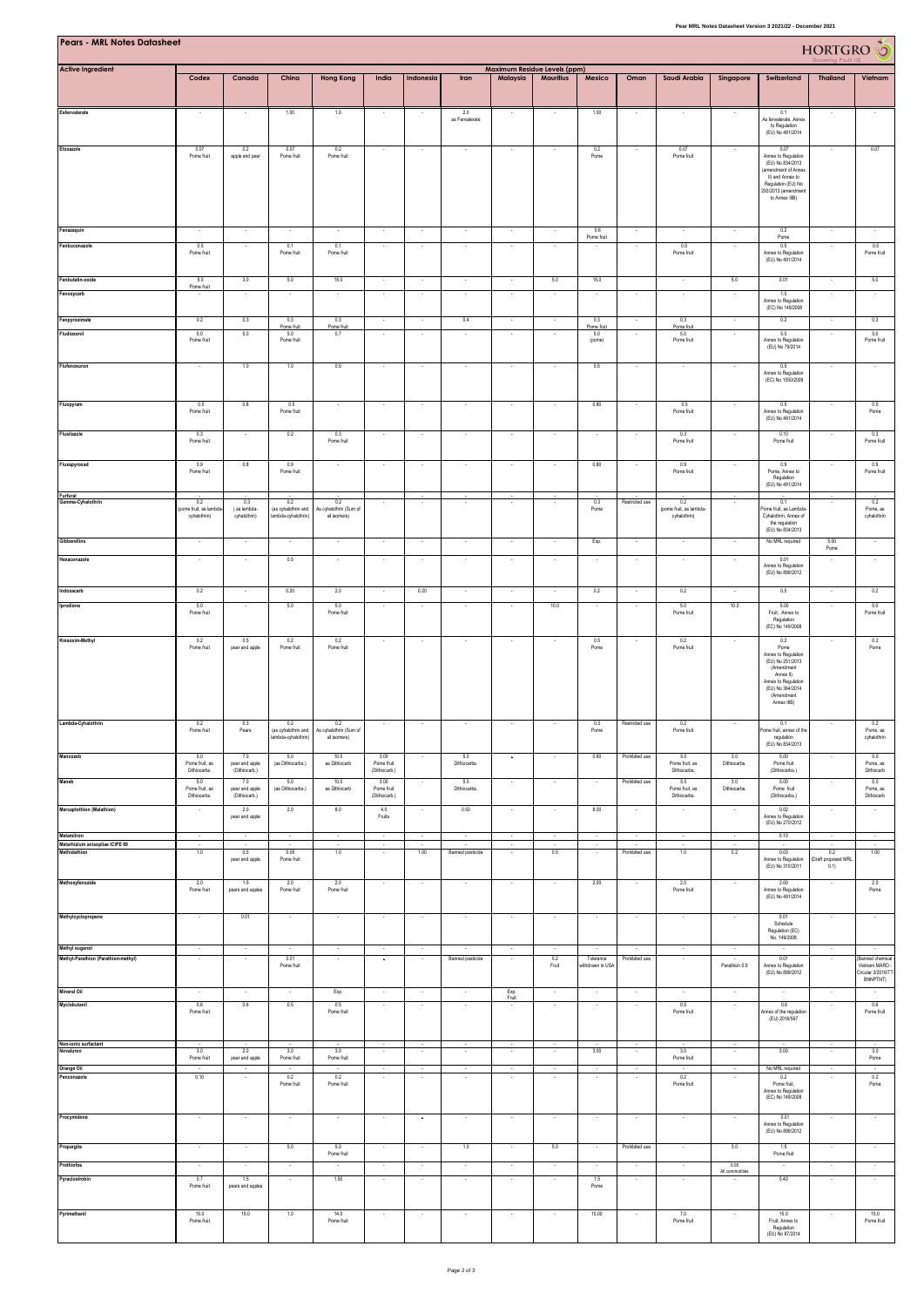| Pear MRL Notes Datasheet Version 3 2021/22 - December 2021    |                                              |                                               |                                                       |                                               |                                               |                          |                                 |                                |                                                  |                               |                                  |                                                |                            |                                                                                                                                                                               |                                   |                                            |
|---------------------------------------------------------------|----------------------------------------------|-----------------------------------------------|-------------------------------------------------------|-----------------------------------------------|-----------------------------------------------|--------------------------|---------------------------------|--------------------------------|--------------------------------------------------|-------------------------------|----------------------------------|------------------------------------------------|----------------------------|-------------------------------------------------------------------------------------------------------------------------------------------------------------------------------|-----------------------------------|--------------------------------------------|
| Pears - MRL Notes Datasheet                                   |                                              | HORTGRO                                       |                                                       |                                               |                                               |                          |                                 |                                |                                                  |                               |                                  |                                                |                            |                                                                                                                                                                               |                                   |                                            |
| <b>Active Ingredient</b>                                      | Codex                                        | Canada                                        | China                                                 | <b>Hong Kong</b>                              | India                                         | Indonesia                | Iran                            | Malaysia                       | Maximum Residue Levels (ppm)<br><b>Mauritius</b> | Mexico                        | Oman                             | Saudi Arabia                                   | Singapore                  | Switzerland                                                                                                                                                                   | <b>Thailand</b>                   | Vietnam                                    |
| Esfenvalerate                                                 |                                              |                                               | 1.00                                                  | 1.0                                           |                                               |                          | 2.0<br>as Fenvalerat            |                                |                                                  | 1.00                          |                                  |                                                |                            | 0.1<br>As fenvalerate, Anne:<br>to Regulation<br>(EU) No 491/2014                                                                                                             |                                   |                                            |
| Etoxazole                                                     | 0.07<br>Pome fruit                           | 0.2<br>apple and pear                         | 0.07<br>Pome fruit                                    | 0.2<br>Pome fruit                             | $\sim$                                        |                          | ×                               |                                |                                                  | 0.2<br>Pome                   |                                  | 0.07<br>Pome fruit                             |                            | 0.07<br>Annex to Regulation<br>(EU) No 834/2013<br>(amendment of Annex<br>II) and Annex to<br>Regulation (EU) No<br>293/2013 (amendment<br>to Annex IIIB)                     |                                   | 0.07                                       |
| Fenazaquin                                                    |                                              |                                               |                                                       |                                               |                                               |                          |                                 |                                |                                                  | 0.6                           |                                  |                                                |                            | 0.2                                                                                                                                                                           |                                   |                                            |
| Fenbuconazole                                                 | 0.5<br>Pome fruit                            |                                               | 0.1<br>Pome fruit                                     | 0.1<br>Pome fruit                             |                                               |                          | $\overline{\phantom{a}}$        |                                |                                                  | Pome fruit                    |                                  | 0.5<br>Pome fruit                              |                            | $\mathsf{Pome}$<br>0.5<br>Annex to Regulation<br>(EU) No 491/2014                                                                                                             | ٠                                 | 0.5<br>Pome fruit                          |
| Fenbutatin-oxide<br>Fenoxycarb                                | 5.0<br>Pome fruit                            | 3.0                                           | 5.0                                                   | 15.0                                          | $\sim$<br>$\cdot$                             | $\sim$                   | $\sim$<br>÷,                    | $\sim$<br>$\cdot$              | 5.0                                              | 15.0                          |                                  | $\sim$<br>×                                    | 5.0                        | 0.01<br>1.0<br>Annex to Regulation<br>(EC) No 149/2008                                                                                                                        | ÷,                                | 5.0<br>×                                   |
| Fenpyroximate                                                 | 0.2                                          | 0.3                                           | 0.3<br>Pome fruit                                     | 0.3<br>Pome fruit                             | $\cdot$                                       | $\overline{\phantom{a}}$ | 0.4                             | $\cdot$                        | $\cdot$                                          | 0.3<br>Pome fruit             | $\cdot$                          | 0.3<br>Pome fruit                              | $\cdot$                    | 0.2                                                                                                                                                                           | $\overline{\phantom{a}}$          | 0.3                                        |
| Fludioxonil                                                   | 5.0<br>Pome fruit                            | 5.0                                           | 5.0<br>Pome fruit                                     | 0.7                                           |                                               |                          | ×                               |                                |                                                  | 5.0<br>(pome)                 |                                  | 5.0<br>Pome fruit                              |                            | 5.0<br>Annex to Regulation<br>(EU) No 79/2014                                                                                                                                 |                                   | 5.0<br>Pome fruit                          |
| Flufenoxuron                                                  |                                              | 1.0                                           | 1.0                                                   | 0.5                                           |                                               |                          |                                 |                                |                                                  | 0.5                           |                                  |                                                |                            | $0.5\,$<br>Annex to Regulation<br>(EC) No 1050/2009                                                                                                                           |                                   |                                            |
| Fluopyram                                                     | 0.5<br>Pome fruit                            | 0.8                                           | 0.5<br>Pome fruit                                     |                                               | ٠                                             |                          | ٠                               |                                |                                                  | 0.80                          |                                  | 0.5<br>Pome fruit                              |                            | 0.5<br>Annex to Regulation<br>(EU) No 491/2014                                                                                                                                |                                   | 0.5<br>Pome                                |
| Flusilazole                                                   | 0.3<br>Pome fruit                            | $\overline{\phantom{a}}$                      | 0.2                                                   | 0.3<br>Pome fruit                             | $\cdot$                                       | $\sim$                   | $\cdot$                         | $\overline{\phantom{a}}$       | $\sim$                                           | $\overline{\phantom{a}}$      |                                  | 0.3<br>Pome fruit                              | $\cdot$                    | 0.10<br>Pome fruit                                                                                                                                                            | $\epsilon$                        | 0.3<br>Pome fruit                          |
| Fluxapyroxad                                                  | 0.9<br>Pome fruit                            | 0.8                                           | 0.9<br>Pome fruit                                     |                                               |                                               |                          |                                 |                                |                                                  | 0.80                          |                                  | 0.9<br>Pome fruit                              |                            | 0.9<br>Pome, Annex to<br>Regulation<br>(EU) No 491/2014                                                                                                                       |                                   | 0.9<br>Pome fruit                          |
| Furfural<br>samma-Cyhalothrin                                 | 0.2<br>pome fruit, as lambo<br>cyhalothrin)  | 0.3<br>(as lambda-<br>cyhalothrin)            | 0.2<br>(as cyhalothrin and<br>.<br>ambda-cyhalothrin) | 0.2<br>As cyhalothrin (Sum of<br>all isomers) |                                               |                          | ٠                               | $\overline{\phantom{a}}$       |                                                  | 0.3<br>Pome                   | Restricted use                   | 0.2<br>(pome fruit, as lambda-<br>cyhalothrin) |                            | 0.1<br>Pome fruit, as Lambda<br>Cyhalothrin, Annex of<br>the regulation                                                                                                       |                                   | 0.2<br>Pome, as<br>cyhalothrin             |
| <b>Gibberellins</b>                                           | $\sim$                                       | $\cdot$                                       | $\cdot$                                               | $\sim$                                        | $\ddot{\phantom{a}}$                          | $\cdot$                  | $\cdot$                         | $\ddot{\phantom{a}}$           | $\cdot$                                          | Exp.                          | $\sim$                           | $\cdot$                                        | $\cdot$                    | (EU) No 834/2013<br>No MRL required                                                                                                                                           | 5.00<br>Pome                      | $\cdot$                                    |
| Hexaconazole                                                  | $\sim$                                       | $\sim$                                        | 0.5                                                   | $\sim$                                        | $\sim$                                        | $\sim$                   | $\sim$                          | $\sim$                         | $\sim$                                           | $\sim$                        | $\sim$                           | ÷.                                             | $\sim$                     | 0.01<br>Annex to Regulation<br>(EU) No 899/2012                                                                                                                               | $\sim$                            | $\sim$                                     |
| Indoxacarb                                                    | 0.2                                          |                                               | 0.20                                                  | 2.0                                           | $\overline{\phantom{a}}$                      | 0.20                     | $\overline{\phantom{a}}$        | $\overline{\phantom{a}}$       | $\sim$                                           | 0.2                           |                                  | 0.2                                            | $\sim$                     | 0.5                                                                                                                                                                           |                                   | 0.2                                        |
| Iprodione                                                     | 50<br>Pome fruit                             |                                               | 5.0                                                   | 5.0<br>Pome fruit                             | ×                                             |                          | $\sim$                          | ÷.                             | 10.0                                             |                               |                                  | 5.0<br>Pome fruit                              | 10.0                       | 5.00<br>Fruit, Annex to<br>Regulation                                                                                                                                         |                                   | 5.0<br>Pome fruit                          |
| Kresoxim-Methyl                                               | 0.2<br>Pome fruit                            | 0.5<br>pear and apple                         | 0.2<br>Pome fruit                                     | 0.2<br>Pome fruit                             |                                               |                          |                                 |                                |                                                  | 0.5<br>Pome                   |                                  | 0.2<br>Pome fruit                              |                            | (EC) No 149/2008<br>0.2<br>Pome<br>Annex to Regulation<br>(EU) No 251/2013<br>(Amendment<br>Annex III<br>Annex to Regulation<br>(EU) No 364/2014<br>(Amendment<br>Annex IIIB) |                                   | 0.2<br>Pome                                |
| Lambda-Cyhalothrin                                            | 0.2<br>Pome fruit                            | 0.3<br>Pears                                  | 0.2<br>(as cyhalothrin and<br>lambda-cyhalothrin)     | 0.2<br>As cyhalothrin (Sum of<br>all isomers) | $\cdot$                                       |                          | $\overline{\phantom{a}}$        |                                |                                                  | 0.3<br>Pome                   | Restricted use                   | 0.2<br>Pome fruit                              |                            | 0.1<br>ome fruit, annex of the<br>regulation<br>(EU) No 834/2013                                                                                                              |                                   | 0.2<br>Pome, as<br>cyhalothrin             |
| Mancozeb<br>Maneb                                             | 5.0<br>Pome fruit, as<br>Dithiocarbs.<br>5.0 | 7.0<br>pear and apple<br>(Dithiocarb.)<br>7.0 | 5.0<br>(as Dithiocarbs.)<br>5.0                       | 10.0<br>as Dithiocarb<br>10.0                 | $3.00$<br>Pome fruit<br>(Dithiocarb.)<br>3.00 | $\sim$<br>$\sim$         | 5.0<br>Diffiocarbs.<br>5.0      | $\cdot$<br>$\cdot$             | $\lambda$<br>$\sim$                              | 0.60<br>$\sim$                | Prohibited use<br>Prohibited use | 5.0<br>Pome fruit, as<br>Dithiocarbs.<br>5.0   | 3.0<br>Dithiocarbs.<br>3.0 | 5.00<br>Pome fruit<br>(Dithiocarbs.)<br>5.00                                                                                                                                  | $\epsilon$<br>$\epsilon$          | 5.0<br>Pome, as<br>Dithiocarb<br>5.0       |
|                                                               | Pome fruit, as<br>Dithiocarbs.               | pear and apple<br>(Dithiocarb.)               | (as Dithiocarbs.)                                     | as Dithiocarb                                 | Pome fruit<br>(Dithiocarb.)                   |                          | Dithiocarbs                     |                                |                                                  |                               |                                  | Pome fruit, as<br>Dithiocarbs.                 | Dithiocarbs.               | Pome fruit<br>(Dithiocarbs.)                                                                                                                                                  |                                   | Pome, as<br>Dithiocarb                     |
| Mercaptothion (Malathion)                                     | $\cdot$                                      | 2.0<br>pear and apple                         | 2.0                                                   | 8.0                                           | 4.0<br>Fruits                                 | $\overline{\phantom{a}}$ | 0.50                            | $\cdot$                        | $\sim$                                           | 8.00                          | $\cdot$                          | $\cdot$                                        | $\sim$                     | 0.02<br>Annex to Regulation<br>(EU) No 270/2012                                                                                                                               | $\hat{\phantom{a}}$               |                                            |
| Metamitron<br>Metarhizium anisopliae ICIPE 69<br>Methidathion | $\sim$<br>$\sim$<br>1.0                      | 0.5<br>pear and apple                         | $\sim$<br>0.05<br>Pome fruit                          | $\sim$<br>1.0                                 | $\sim$<br>$\sim$<br>$\sim$                    | $\sim$<br>$\sim$<br>1.00 | $\sim$<br>Banned pesticide      | $\sim$<br>$\epsilon$<br>$\sim$ | $\sim$<br>$\lambda$<br>0.5                       | $\sim$<br>$\sim$<br>$\sim$    | $\sim$<br>Prohibited use         | $\sim$<br>1.0                                  | $\sim$<br>0.2              | 0.10<br>0.03<br>Annex to Regulation<br>(EU) No 310/2011                                                                                                                       | 0.2<br>Draft proposed MRL<br>0.1) | $\sim$<br>$\overline{\phantom{a}}$<br>1.00 |
| Methoxyfenozide                                               | 2.0<br>Pome fruit                            | 1.5<br>pears and apples                       | 2.0<br>Pome fruit                                     | 2.0<br>Pome fruit                             |                                               |                          |                                 |                                |                                                  | 2.00                          |                                  | 2.0<br>Pome fruit                              |                            | 2.00<br>Annex to Regulation<br>(EU) No 491/2014                                                                                                                               |                                   | 2.0<br>Pome                                |
| Methylcyclopropene                                            |                                              | 0.01                                          |                                                       |                                               | $\cdot$                                       | $\overline{\phantom{a}}$ | $\overline{\phantom{a}}$        | $\overline{\phantom{a}}$       | $\sim$                                           | $\sim$                        |                                  | $\overline{\phantom{a}}$                       |                            | 0.01<br>Schedule<br>Regulation (EC)<br>No. 149/2008                                                                                                                           |                                   |                                            |
| Methyl eugenol<br>Methyl-Parathion (Parathion-methyl)         | $\sim$<br>$\cdot$                            | $\sim$<br>$\sim$                              | 0.01<br>Pome fruit                                    | $\sim$<br>$\sim$                              | $\sim$<br>$\cdot$                             | $\sim$<br>$\sim$         | ×<br>Banned pesticide           | $\sim$<br>$\cdot$              | $\sim$<br>0.2<br>Fruit                           | Tolerance<br>vithdrawn in USA | $\sim$<br>Prohibited use         | $\sim$<br>$\sim$                               | $\sim$<br>Parathion 0.5    | 0.01<br>Annex to Regulation                                                                                                                                                   | $\sim$<br>$\bullet$               | $\sim$<br>Banned chemical<br>Vietnam MARD  |
| <b>Mineral Oil</b>                                            | $\cdot$                                      | $\sim$                                        | $\sim$                                                | Exp.                                          | $\sim$                                        | $\sim$                   | $\sim$                          | Exp.                           | $\sim$                                           | $\sim$                        | $\sim$                           | $\cdot$                                        | $\sim$                     | (EU) No 899/2012<br>$\cdot$                                                                                                                                                   | $\bullet$                         | Circular 3/2016/T<br>BNNPTNT)              |
| Myclobutanil                                                  | 0.6<br>Pome fruit                            | 0.6                                           | 0.5                                                   | 0.5<br>Pome fruit                             |                                               |                          |                                 | Fruit                          |                                                  |                               |                                  | 0.5<br>Pome fruit                              |                            | 0.6<br>Annex of the regulation<br>(EU) 2016/567                                                                                                                               |                                   | 0.6<br>Pome fruit                          |
| Non-ionic surfactant<br>Novaluron                             | 3.0                                          | 2.0                                           | 3.0                                                   | 3.0                                           |                                               |                          |                                 |                                |                                                  | 3.00                          |                                  | 3.0                                            |                            | 3.00                                                                                                                                                                          |                                   | 3.0                                        |
| Orange Oil<br>Penconazole                                     | Pome fruit<br>0.10                           | pear and apple                                | Pome fruit<br>0.2                                     | Pome fruit<br>0.2                             | $\sim$                                        | $\sim$                   | $\sim$                          | $\sim$                         | $\sim$                                           | $\sim$                        | $\sim$                           | Pome fruit<br>0.2                              | $\sim$                     | No MRL required<br>0.2                                                                                                                                                        | $\sim$                            | Pome<br>0.2                                |
| Procymidone                                                   |                                              |                                               | Pome fruit                                            | Pome fruit                                    |                                               |                          |                                 |                                |                                                  |                               |                                  | Pome fruit                                     |                            | Pome fruit,<br>Annex to Regulation<br>(EC) No 149/2008<br>0.01                                                                                                                |                                   | Pome                                       |
|                                                               |                                              |                                               |                                                       |                                               | ٠                                             | $\overline{\phantom{a}}$ | $\overline{\phantom{a}}$        | $\cdot$                        | $\overline{\phantom{a}}$                         |                               |                                  | $\cdot$                                        |                            | Annex to Regulation<br>(EU) No 899/2012                                                                                                                                       |                                   |                                            |
| Propargite<br>Prothiofos                                      | $\cdot$<br>$\sim$                            | $\sim$<br>$\epsilon$                          | 5.0<br>$\cdot$                                        | 5.0<br>Pome fruit                             | $\sim$<br>Ŧ                                   | $\cdot$<br>$\cdot$       | 1.0<br>$\overline{\phantom{a}}$ | $\sim$<br>Ŧ                    | 5.0<br>$\overline{\phantom{a}}$                  | $\sim$<br>$\cdot$             | Prohibited use<br>$\cdot$        | $\cdot$<br>$\overline{\phantom{a}}$            | 3.0<br>0.06                | 1.5<br>Pome fruit<br>÷.                                                                                                                                                       | $\sim$                            | $\sim$<br>$\overline{\phantom{a}}$         |
| Pyraclostrobin                                                | 0.7<br>Pome fruit                            | 1.5<br>pears and apples                       |                                                       | 1.50                                          | $\cdot$                                       | $\cdot$                  | $\cdot$                         | $\sim$                         | т                                                | 1.5<br>Pome                   |                                  | $\cdot$                                        | All commodifies            | 0.40                                                                                                                                                                          | $\sim$                            | т                                          |
| Pyrimethanil                                                  | 15.0<br>Pome fruit                           | 15.0                                          | 1.0                                                   | 14.0<br>Pome fruit                            |                                               |                          |                                 |                                |                                                  | 15.00                         |                                  | 7.0<br>Pome fruit                              |                            | 15.0<br>Fruit, Annex to<br>Regulation<br>(EU) No 87/2014                                                                                                                      |                                   | 15.0<br>Pome fruit                         |